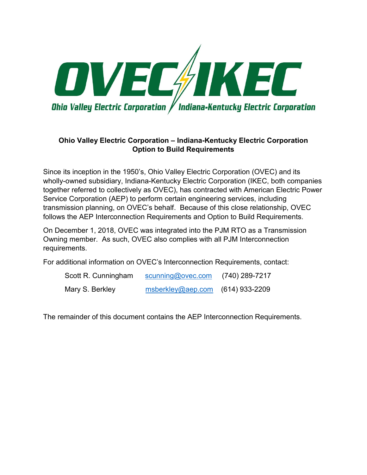

#### **Ohio Valley Electric Corporation – Indiana-Kentucky Electric Corporation Option to Build Requirements**

Since its inception in the 1950's, Ohio Valley Electric Corporation (OVEC) and its wholly-owned subsidiary, Indiana-Kentucky Electric Corporation (IKEC, both companies together referred to collectively as OVEC), has contracted with American Electric Power Service Corporation (AEP) to perform certain engineering services, including transmission planning, on OVEC's behalf. Because of this close relationship, OVEC follows the AEP Interconnection Requirements and Option to Build Requirements.

On December 1, 2018, OVEC was integrated into the PJM RTO as a Transmission Owning member. As such, OVEC also complies with all PJM Interconnection requirements.

For additional information on OVEC's Interconnection Requirements, contact:

| Scott R. Cunningham | scunning@ovec.com                  | (740) 289-7217 |
|---------------------|------------------------------------|----------------|
| Mary S. Berkley     | $msberkley@aep.com$ (614) 933-2209 |                |

The remainder of this document contains the AEP Interconnection Requirements.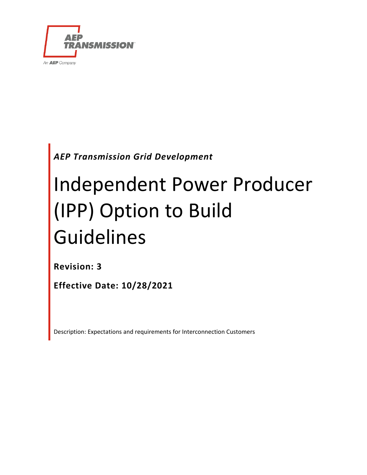

*AEP Transmission Grid Development*

# Independent Power Producer (IPP) Option to Build Guidelines

**Revision: 3**

**Effective Date: 10/28/2021**

Description: Expectations and requirements for Interconnection Customers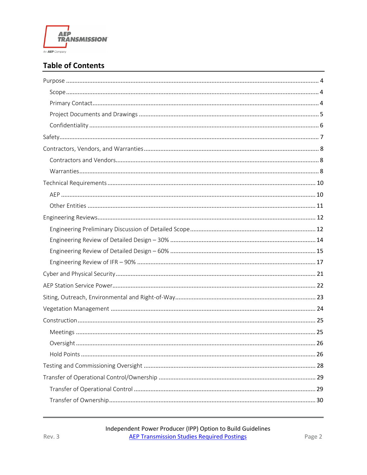

#### **Table of Contents**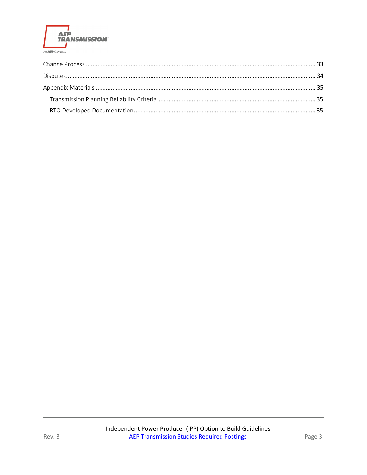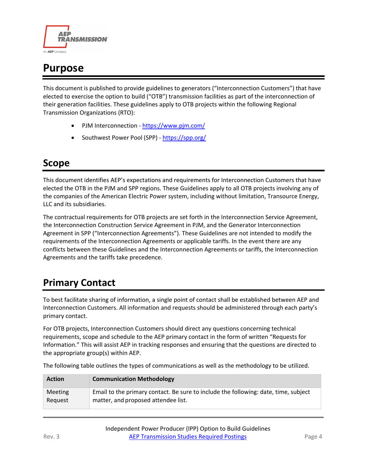

# <span id="page-4-0"></span>**Purpose**

This document is published to provide guidelines to generators ("Interconnection Customers") that have elected to exercise the option to build ("OTB") transmission facilities as part of the interconnection of their generation facilities. These guidelines apply to OTB projects within the following Regional Transmission Organizations (RTO):

- PJM Interconnection <https://www.pjm.com/>
- Southwest Power Pool (SPP) <https://spp.org/>

### <span id="page-4-1"></span>**Scope**

This document identifies AEP's expectations and requirements for Interconnection Customers that have elected the OTB in the PJM and SPP regions. These Guidelines apply to all OTB projects involving any of the companies of the American Electric Power system, including without limitation, Transource Energy, LLC and its subsidiaries.

The contractual requirements for OTB projects are set forth in the Interconnection Service Agreement, the Interconnection Construction Service Agreement in PJM, and the Generator Interconnection Agreement in SPP ("Interconnection Agreements"). These Guidelines are not intended to modify the requirements of the Interconnection Agreements or applicable tariffs. In the event there are any conflicts between these Guidelines and the Interconnection Agreements or tariffs, the Interconnection Agreements and the tariffs take precedence.

# <span id="page-4-2"></span>**Primary Contact**

To best facilitate sharing of information, a single point of contact shall be established between AEP and Interconnection Customers. All information and requests should be administered through each party's primary contact.

For OTB projects, Interconnection Customers should direct any questions concerning technical requirements, scope and schedule to the AEP primary contact in the form of written "Requests for Information." This will assist AEP in tracking responses and ensuring that the questions are directed to the appropriate group(s) within AEP.

| <b>Action</b>  | <b>Communication Methodology</b>                                                    |
|----------------|-------------------------------------------------------------------------------------|
| <b>Meeting</b> | Email to the primary contact. Be sure to include the following: date, time, subject |
| Request        | matter, and proposed attendee list.                                                 |

The following table outlines the types of communications as well as the methodology to be utilized.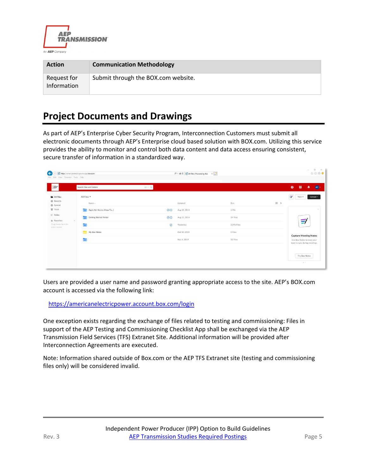

| <b>Action</b>              | <b>Communication Methodology</b>    |
|----------------------------|-------------------------------------|
| Request for<br>Information | Submit through the BOX.com website. |

### <span id="page-5-0"></span>**Project Documents and Drawings**

As part of AEP's Enterprise Cyber Security Program, Interconnection Customers must submit all electronic documents through AEP's Enterprise cloud based solution with BOX.com. Utilizing this service provides the ability to monitor and control both data content and data access ensuring consistent, secure transfer of information in a standardized way.

| $\Rightarrow$<br><b>Eu</b> All Files<br>All Files .<br><b>B</b> Recents<br>$\mathbb{H}$ ><br>Name -<br>Size<br>Updated<br>Synced<br>冒 Trash<br>$\circledcirc$<br>1 File<br>Apply for Access (How To)<br>Aug 22, 2014<br>$\overline{z}$ / Notes | New -<br>Upload -                                                                           |
|------------------------------------------------------------------------------------------------------------------------------------------------------------------------------------------------------------------------------------------------|---------------------------------------------------------------------------------------------|
|                                                                                                                                                                                                                                                |                                                                                             |
|                                                                                                                                                                                                                                                |                                                                                             |
|                                                                                                                                                                                                                                                |                                                                                             |
| 00<br>Getting Started Folder<br>Aug 21, 2014<br>24 Files<br>122<br>* Favorites<br>$\sim$                                                                                                                                                       |                                                                                             |
| Drag items here for<br>国<br>$\odot$<br>Yesterday<br>2,196 Files<br>quick access                                                                                                                                                                | $\equiv$                                                                                    |
| My Box Notes<br>Oct 30, 2019<br>0 Files                                                                                                                                                                                                        |                                                                                             |
| <b>TE</b><br>Nov 4, 2019<br>53 Files                                                                                                                                                                                                           | <b>Capture Meeting Notes</b><br>Use Box Notes to keep your<br>team in sync during meetings. |

Users are provided a user name and password granting appropriate access to the site. AEP's BOX.com account is accessed via the following link:

#### <https://americanelectricpower.account.box.com/login>

One exception exists regarding the exchange of files related to testing and commissioning: Files in support of the AEP Testing and Commissioning Checklist App shall be exchanged via the AEP Transmission Field Services (TFS) Extranet Site. Additional information will be provided after Interconnection Agreements are executed.

Note: Information shared outside of Box.com or the AEP TFS Extranet site (testing and commissioning files only) will be considered invalid.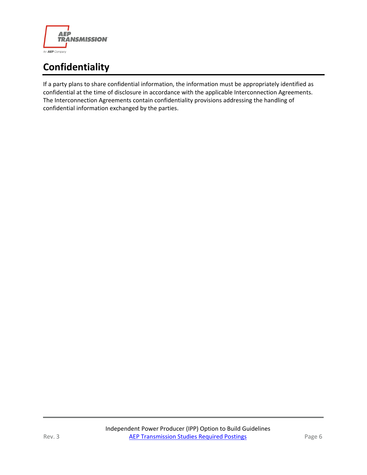

# <span id="page-6-0"></span>**Confidentiality**

If a party plans to share confidential information, the information must be appropriately identified as confidential at the time of disclosure in accordance with the applicable Interconnection Agreements. The Interconnection Agreements contain confidentiality provisions addressing the handling of confidential information exchanged by the parties.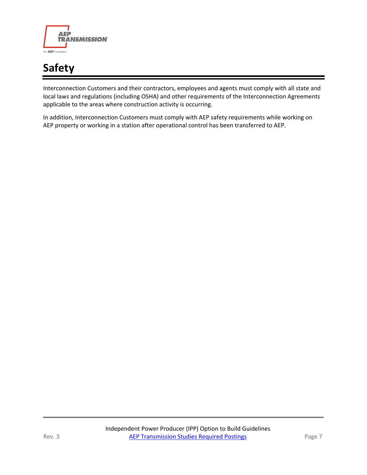

# <span id="page-7-0"></span>**Safety**

Interconnection Customers and their contractors, employees and agents must comply with all state and local laws and regulations (including OSHA) and other requirements of the Interconnection Agreements applicable to the areas where construction activity is occurring.

In addition, Interconnection Customers must comply with AEP safety requirements while working on AEP property or working in a station after operational control has been transferred to AEP.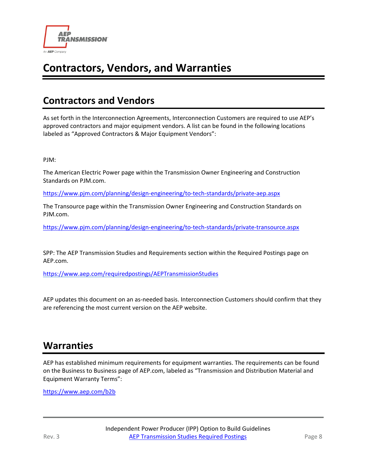

# <span id="page-8-0"></span>**Contractors, Vendors, and Warranties**

### <span id="page-8-1"></span>**Contractors and Vendors**

As set forth in the Interconnection Agreements, Interconnection Customers are required to use AEP's approved contractors and major equipment vendors. A list can be found in the following locations labeled as "Approved Contractors & Major Equipment Vendors":

PJM:

The American Electric Power page within the Transmission Owner Engineering and Construction Standards on PJM.com.

<https://www.pjm.com/planning/design-engineering/to-tech-standards/private-aep.aspx>

The Transource page within the Transmission Owner Engineering and Construction Standards on PJM.com.

<https://www.pjm.com/planning/design-engineering/to-tech-standards/private-transource.aspx>

SPP: The AEP Transmission Studies and Requirements section within the Required Postings page on AEP.com.

<https://www.aep.com/requiredpostings/AEPTransmissionStudies>

AEP updates this document on an as-needed basis. Interconnection Customers should confirm that they are referencing the most current version on the AEP website.

### <span id="page-8-2"></span>**Warranties**

AEP has established minimum requirements for equipment warranties. The requirements can be found on the Business to Business page of AEP.com, labeled as "Transmission and Distribution Material and Equipment Warranty Terms":

<https://www.aep.com/b2b>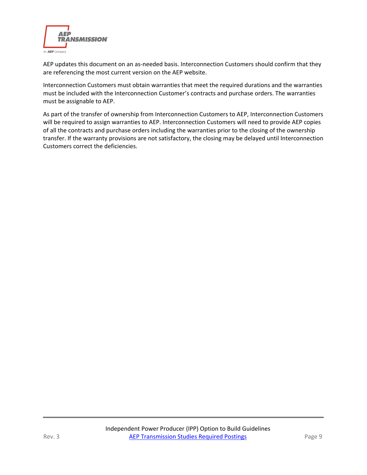

AEP updates this document on an as-needed basis. Interconnection Customers should confirm that they are referencing the most current version on the AEP website.

Interconnection Customers must obtain warranties that meet the required durations and the warranties must be included with the Interconnection Customer's contracts and purchase orders. The warranties must be assignable to AEP.

As part of the transfer of ownership from Interconnection Customers to AEP, Interconnection Customers will be required to assign warranties to AEP. Interconnection Customers will need to provide AEP copies of all the contracts and purchase orders including the warranties prior to the closing of the ownership transfer. If the warranty provisions are not satisfactory, the closing may be delayed until Interconnection Customers correct the deficiencies.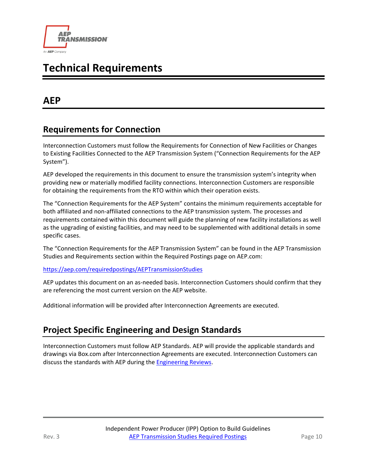

# <span id="page-10-0"></span>**Technical Requirements**

### <span id="page-10-1"></span>**AEP**

#### **Requirements for Connection**

Interconnection Customers must follow the Requirements for Connection of New Facilities or Changes to Existing Facilities Connected to the AEP Transmission System ("Connection Requirements for the AEP System").

AEP developed the requirements in this document to ensure the transmission system's integrity when providing new or materially modified facility connections. Interconnection Customers are responsible for obtaining the requirements from the RTO within which their operation exists.

The "Connection Requirements for the AEP System" contains the minimum requirements acceptable for both affiliated and non-affiliated connections to the AEP transmission system. The processes and requirements contained within this document will guide the planning of new facility installations as well as the upgrading of existing facilities, and may need to be supplemented with additional details in some specific cases.

The "Connection Requirements for the AEP Transmission System" can be found in the AEP Transmission Studies and Requirements section within the Required Postings page on AEP.com:

#### <https://aep.com/requiredpostings/AEPTransmissionStudies>

AEP updates this document on an as-needed basis. Interconnection Customers should confirm that they are referencing the most current version on the AEP website.

Additional information will be provided after Interconnection Agreements are executed.

#### **Project Specific Engineering and Design Standards**

Interconnection Customers must follow AEP Standards. AEP will provide the applicable standards and drawings via Box.com after Interconnection Agreements are executed. Interconnection Customers can discuss the standards with AEP during the **Engineering Reviews**.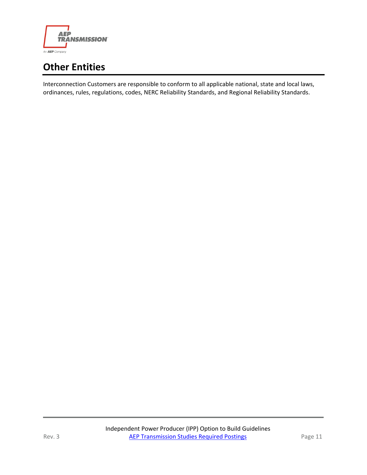

# <span id="page-11-0"></span>**Other Entities**

Interconnection Customers are responsible to conform to all applicable national, state and local laws, ordinances, rules, regulations, codes, NERC Reliability Standards, and Regional Reliability Standards.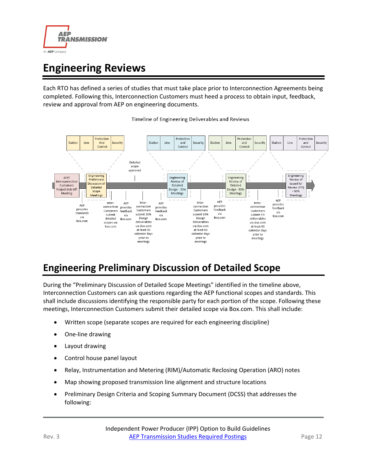

# <span id="page-12-0"></span>**Engineering Reviews**

Each RTO has defined a series of studies that must take place prior to Interconnection Agreements being completed. Following this, Interconnection Customers must heed a process to obtain input, feedback, review and approval from AEP on engineering documents.



Timeline of Engineering Deliverables and Reviews

# <span id="page-12-1"></span>**Engineering Preliminary Discussion of Detailed Scope**

During the "Preliminary Discussion of Detailed Scope Meetings" identified in the timeline above, Interconnection Customers can ask questions regarding the AEP functional scopes and standards. This shall include discussions identifying the responsible party for each portion of the scope. Following these meetings, Interconnection Customers submit their detailed scope via Box.com. This shall include:

- Written scope (separate scopes are required for each engineering discipline)
- One-line drawing
- Layout drawing
- Control house panel layout
- Relay, Instrumentation and Metering (RIM)/Automatic Reclosing Operation (ARO) notes
- Map showing proposed transmission line alignment and structure locations
- Preliminary Design Criteria and Scoping Summary Document (DCSS) that addresses the following: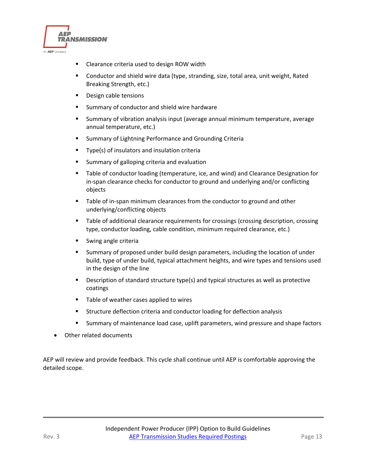

- Clearance criteria used to design ROW width
- Conductor and shield wire data (type, stranding, size, total area, unit weight, Rated Breaking Strength, etc.)
- **Design cable tensions**
- **Summary of conductor and shield wire hardware**
- Summary of vibration analysis input (average annual minimum temperature, average annual temperature, etc.)
- **Summary of Lightning Performance and Grounding Criteria**
- **Type(s) of insulators and insulation criteria**
- **E** Summary of galloping criteria and evaluation
- **Table of conductor loading (temperature, ice, and wind) and Clearance Designation for** in-span clearance checks for conductor to ground and underlying and/or conflicting objects
- **Table of in-span minimum clearances from the conductor to ground and other** underlying/conflicting objects
- **Table of additional clearance requirements for crossings (crossing description, crossing** type, conductor loading, cable condition, minimum required clearance, etc.)
- **Swing angle criteria**
- Summary of proposed under build design parameters, including the location of under build, type of under build, typical attachment heights, and wire types and tensions used in the design of the line
- **Description of standard structure type(s) and typical structures as well as protective** coatings
- **Table of weather cases applied to wires**
- Structure deflection criteria and conductor loading for deflection analysis
- Summary of maintenance load case, uplift parameters, wind pressure and shape factors
- Other related documents

AEP will review and provide feedback. This cycle shall continue until AEP is comfortable approving the detailed scope.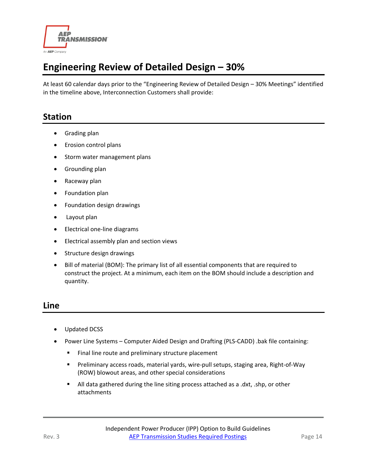

# <span id="page-14-0"></span>**Engineering Review of Detailed Design – 30%**

At least 60 calendar days prior to the "Engineering Review of Detailed Design – 30% Meetings" identified in the timeline above, Interconnection Customers shall provide:

#### **Station**

- Grading plan
- Erosion control plans
- Storm water management plans
- Grounding plan
- Raceway plan
- Foundation plan
- Foundation design drawings
- Layout plan
- Electrical one-line diagrams
- Electrical assembly plan and section views
- Structure design drawings
- Bill of material (BOM): The primary list of all essential components that are required to construct the project. At a minimum, each item on the BOM should include a description and quantity.

#### **Line**

- Updated DCSS
- Power Line Systems Computer Aided Design and Drafting (PLS-CADD) .bak file containing:
	- Final line route and preliminary structure placement
	- Preliminary access roads, material yards, wire-pull setups, staging area, Right-of-Way (ROW) blowout areas, and other special considerations
	- All data gathered during the line siting process attached as a .dxt, .shp, or other attachments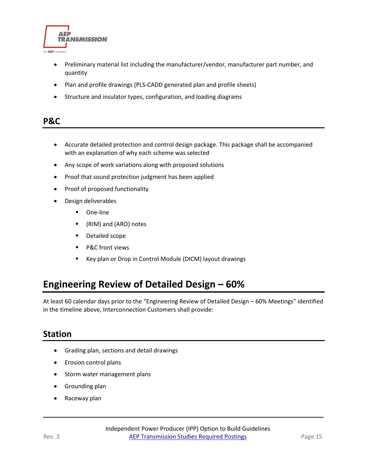

- Preliminary material list including the manufacturer/vendor, manufacturer part number, and quantity
- Plan and profile drawings (PLS-CADD generated plan and profile sheets)
- Structure and insulator types, configuration, and loading diagrams

#### **P&C**

- Accurate detailed protection and control design package. This package shall be accompanied with an explanation of why each scheme was selected
- Any scope of work variations along with proposed solutions
- Proof that sound protection judgment has been applied
- Proof of proposed functionality
- Design deliverables
	- **De-line**
	- (RIM) and (ARO) notes
	- **•** Detailed scope
	- **P&C** front views
	- Key plan or Drop in Control Module (DICM) layout drawings

### <span id="page-15-0"></span>**Engineering Review of Detailed Design – 60%**

At least 60 calendar days prior to the "Engineering Review of Detailed Design – 60% Meetings" identified in the timeline above, Interconnection Customers shall provide:

#### **Station**

- Grading plan, sections and detail drawings
- Erosion control plans
- Storm water management plans
- Grounding plan
- Raceway plan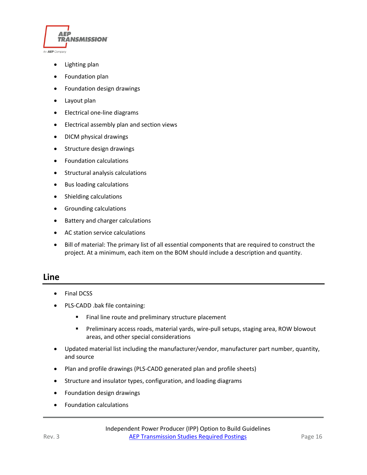

- Lighting plan
- Foundation plan
- Foundation design drawings
- Layout plan
- Electrical one-line diagrams
- Electrical assembly plan and section views
- DICM physical drawings
- Structure design drawings
- Foundation calculations
- Structural analysis calculations
- Bus loading calculations
- Shielding calculations
- Grounding calculations
- Battery and charger calculations
- AC station service calculations
- Bill of material: The primary list of all essential components that are required to construct the project. At a minimum, each item on the BOM should include a description and quantity.

#### **Line**

- Final DCSS
- PLS-CADD .bak file containing:
	- Final line route and preliminary structure placement
	- Preliminary access roads, material yards, wire-pull setups, staging area, ROW blowout areas, and other special considerations
- Updated material list including the manufacturer/vendor, manufacturer part number, quantity, and source
- Plan and profile drawings (PLS-CADD generated plan and profile sheets)
- Structure and insulator types, configuration, and loading diagrams
- Foundation design drawings
- Foundation calculations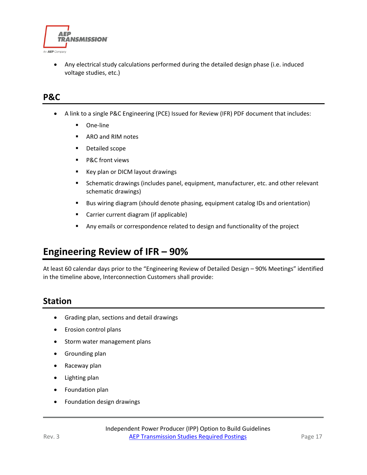

• Any electrical study calculations performed during the detailed design phase (i.e. induced voltage studies, etc.)

#### **P&C**

- A link to a single P&C Engineering (PCE) Issued for Review (IFR) PDF document that includes:
	- **De-line**
	- **ARO and RIM notes**
	- **•** Detailed scope
	- **P&C** front views
	- Key plan or DICM layout drawings
	- **Schematic drawings (includes panel, equipment, manufacturer, etc. and other relevant** schematic drawings)
	- Bus wiring diagram (should denote phasing, equipment catalog IDs and orientation)
	- **EXTED Carrier current diagram (if applicable)**
	- Any emails or correspondence related to design and functionality of the project

### <span id="page-17-0"></span>**Engineering Review of IFR – 90%**

At least 60 calendar days prior to the "Engineering Review of Detailed Design – 90% Meetings" identified in the timeline above, Interconnection Customers shall provide:

#### **Station**

- Grading plan, sections and detail drawings
- Erosion control plans
- Storm water management plans
- Grounding plan
- Raceway plan
- Lighting plan
- Foundation plan
- Foundation design drawings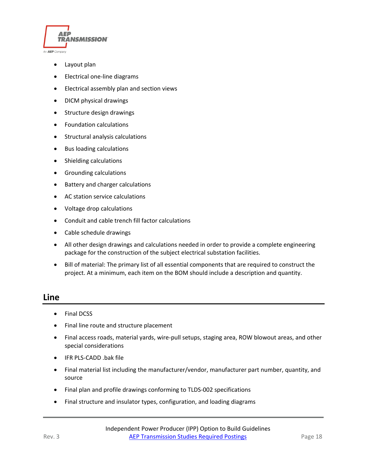

- Layout plan
- Electrical one-line diagrams
- Electrical assembly plan and section views
- DICM physical drawings
- Structure design drawings
- Foundation calculations
- Structural analysis calculations
- Bus loading calculations
- Shielding calculations
- Grounding calculations
- Battery and charger calculations
- AC station service calculations
- Voltage drop calculations
- Conduit and cable trench fill factor calculations
- Cable schedule drawings
- All other design drawings and calculations needed in order to provide a complete engineering package for the construction of the subject electrical substation facilities.
- Bill of material: The primary list of all essential components that are required to construct the project. At a minimum, each item on the BOM should include a description and quantity.

#### **Line**

- Final DCSS
- Final line route and structure placement
- Final access roads, material yards, wire-pull setups, staging area, ROW blowout areas, and other special considerations
- IFR PLS-CADD .bak file
- Final material list including the manufacturer/vendor, manufacturer part number, quantity, and source
- Final plan and profile drawings conforming to TLDS-002 specifications
- Final structure and insulator types, configuration, and loading diagrams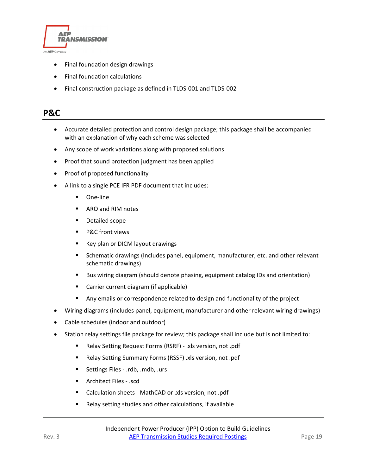

- Final foundation design drawings
- Final foundation calculations
- Final construction package as defined in TLDS-001 and TLDS-002

#### **P&C**

- Accurate detailed protection and control design package; this package shall be accompanied with an explanation of why each scheme was selected
- Any scope of work variations along with proposed solutions
- Proof that sound protection judgment has been applied
- Proof of proposed functionality
- A link to a single PCE IFR PDF document that includes:
	- **•** One-line
	- **ARO and RIM notes**
	- **•** Detailed scope
	- **P&C** front views
	- Key plan or DICM layout drawings
	- **Schematic drawings (Includes panel, equipment, manufacturer, etc. and other relevant** schematic drawings)
	- Bus wiring diagram (should denote phasing, equipment catalog IDs and orientation)
	- Carrier current diagram (if applicable)
	- **Any emails or correspondence related to design and functionality of the project**
- Wiring diagrams (includes panel, equipment, manufacturer and other relevant wiring drawings)
- Cable schedules (indoor and outdoor)
- Station relay settings file package for review; this package shall include but is not limited to:
	- Relay Setting Request Forms (RSRF) .xls version, not .pdf
	- Relay Setting Summary Forms (RSSF) .xls version, not .pdf
	- Settings Files .rdb, .mdb, .urs
	- **Architect Files .scd**
	- Calculation sheets MathCAD or .xls version, not .pdf
	- Relay setting studies and other calculations, if available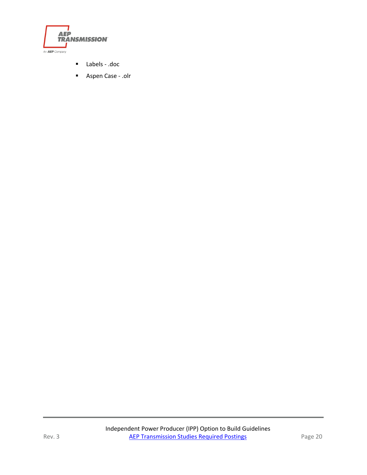

- Labels .doc
- Aspen Case .olr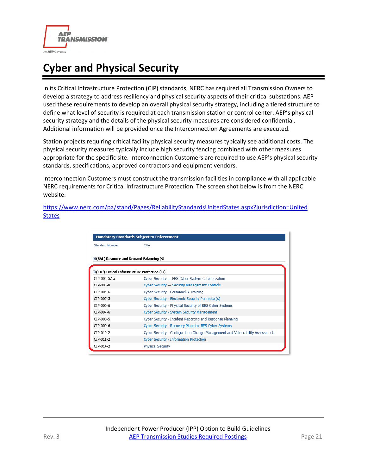

# <span id="page-21-0"></span>**Cyber and Physical Security**

In its Critical Infrastructure Protection (CIP) standards, NERC has required all Transmission Owners to develop a strategy to address resiliency and physical security aspects of their critical substations. AEP used these requirements to develop an overall physical security strategy, including a tiered structure to define what level of security is required at each transmission station or control center. AEP's physical security strategy and the details of the physical security measures are considered confidential. Additional information will be provided once the Interconnection Agreements are executed.

Station projects requiring critical facility physical security measures typically see additional costs. The physical security measures typically include high security fencing combined with other measures appropriate for the specific site. Interconnection Customers are required to use AEP's physical security standards, specifications, approved contractors and equipment vendors.

Interconnection Customers must construct the transmission facilities in compliance with all applicable NERC requirements for Critical Infrastructure Protection. The screen shot below is from the NERC website:

[https://www.nerc.com/pa/stand/Pages/ReliabilityStandardsUnitedStates.aspx?jurisdiction=United](https://www.nerc.com/pa/stand/Pages/ReliabilityStandardsUnitedStates.aspx?jurisdiction=United%20States)  **[States](https://www.nerc.com/pa/stand/Pages/ReliabilityStandardsUnitedStates.aspx?jurisdiction=United%20States)** 

| <b>Mandatory Standards Subject to Enforcement</b>       |                                                                                |
|---------------------------------------------------------|--------------------------------------------------------------------------------|
| <b>Standard Number</b>                                  | Title                                                                          |
| $\exists$ (BAL) Resource and Demand Balancing (9)       |                                                                                |
| $\exists$ (CIP) Critical Infrastructure Protection (11) |                                                                                |
| CIP-002-5.1a                                            | Cyber Security - BES Cyber System Categorization                               |
| CTP-003-8                                               | Cyber Security - Security Management Controls                                  |
| CIP-004-6                                               | Cyber Security - Personnel & Training                                          |
| CIP-005-5                                               | Cyber Security - Electronic Security Perimeter(s)                              |
| CIP-006-6                                               | Cyber Security - Physical Security of BES Cyber Systems                        |
| CIP-007-6                                               | Cyber Security - System Security Management                                    |
| CIP-008-5                                               | Cyber Security - Incident Reporting and Response Planning                      |
| CIP-009-6                                               | Cyber Security - Recovery Plans for BES Cyber Systems                          |
| CTP-010-2                                               | Cyber Security - Configuration Change Management and Vulnerability Assessments |
| CIP-011-2                                               | <b>Cyber Security - Information Protection</b>                                 |
| CIP-014-2                                               | <b>Physical Security</b>                                                       |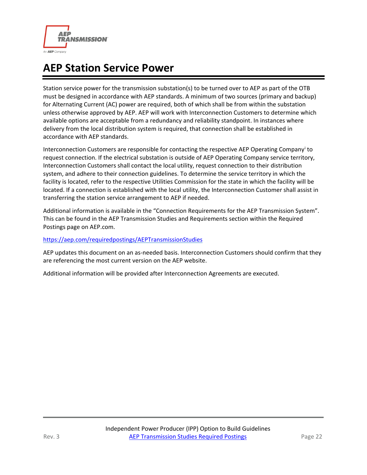

# <span id="page-22-0"></span>**AEP Station Service Power**

Station service power for the transmission substation(s) to be turned over to AEP as part of the OTB must be designed in accordance with AEP standards. A minimum of two sources (primary and backup) for Alternating Current (AC) power are required, both of which shall be from within the substation unless otherwise approved by AEP. AEP will work with Interconnection Customers to determine which available options are acceptable from a redundancy and reliability standpoint. In instances where delivery from the local distribution system is required, that connection shall be established in accordance with AEP standards.

Interconnection Customers are responsible for contacting the respective AEP Operating Company[i](#page-36-0) to request connection. If the electrical substation is outside of AEP Operating Company service territory, Interconnection Customers shall contact the local utility, request connection to their distribution system, and adhere to their connection guidelines. To determine the service territory in which the facility is located, refer to the respective Utilities Commission for the state in which the facility will be located. If a connection is established with the local utility, the Interconnection Customer shall assist in transferring the station service arrangement to AEP if needed.

Additional information is available in the "Connection Requirements for the AEP Transmission System". This can be found in the AEP Transmission Studies and Requirements section within the Required Postings page on AEP.com.

#### <https://aep.com/requiredpostings/AEPTransmissionStudies>

AEP updates this document on an as-needed basis. Interconnection Customers should confirm that they are referencing the most current version on the AEP website.

Additional information will be provided after Interconnection Agreements are executed.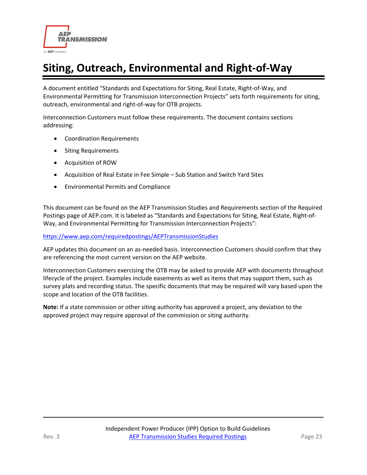

# <span id="page-23-0"></span>**Siting, Outreach, Environmental and Right-of-Way**

A document entitled "Standards and Expectations for Siting, Real Estate, Right-of-Way, and Environmental Permitting for Transmission Interconnection Projects" sets forth requirements for siting, outreach, environmental and right-of-way for OTB projects.

Interconnection Customers must follow these requirements. The document contains sections addressing:

- Coordination Requirements
- Siting Requirements
- Acquisition of ROW
- Acquisition of Real Estate in Fee Simple Sub Station and Switch Yard Sites
- Environmental Permits and Compliance

This document can be found on the AEP Transmission Studies and Requirements section of the Required Postings page of AEP.com. It is labeled as "Standards and Expectations for Siting, Real Estate, Right-of-Way, and Environmental Permitting for Transmission Interconnection Projects":

<https://www.aep.com/requiredpostings/AEPTransmissionStudies>

AEP updates this document on an as-needed basis. Interconnection Customers should confirm that they are referencing the most current version on the AEP website.

Interconnection Customers exercising the OTB may be asked to provide AEP with documents throughout lifecycle of the project. Examples include easements as well as items that may support them, such as survey plats and recording status. The specific documents that may be required will vary based upon the scope and location of the OTB facilities.

**Note:** If a state commission or other siting authority has approved a project, any deviation to the approved project may require approval of the commission or siting authority.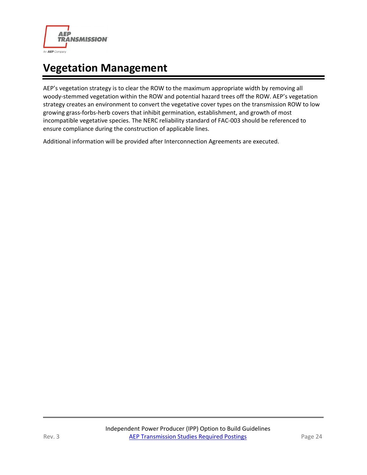

# <span id="page-24-0"></span>**Vegetation Management**

AEP's vegetation strategy is to clear the ROW to the maximum appropriate width by removing all woody-stemmed vegetation within the ROW and potential hazard trees off the ROW. AEP's vegetation strategy creates an environment to convert the vegetative cover types on the transmission ROW to low growing grass-forbs-herb covers that inhibit germination, establishment, and growth of most incompatible vegetative species. The NERC reliability standard of FAC-003 should be referenced to ensure compliance during the construction of applicable lines.

Additional information will be provided after Interconnection Agreements are executed.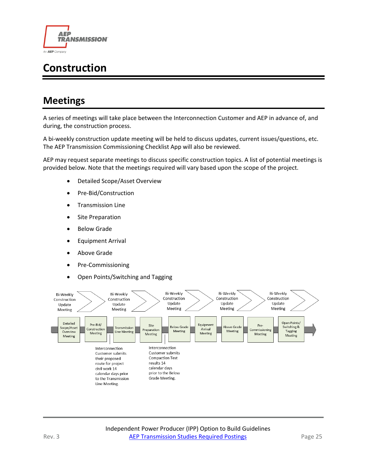

# <span id="page-25-0"></span>**Construction**

### <span id="page-25-1"></span>**Meetings**

A series of meetings will take place between the Interconnection Customer and AEP in advance of, and during, the construction process.

A bi-weekly construction update meeting will be held to discuss updates, current issues/questions, etc. The AEP Transmission Commissioning Checklist App will also be reviewed.

AEP may request separate meetings to discuss specific construction topics. A list of potential meetings is provided below. Note that the meetings required will vary based upon the scope of the project.

- Detailed Scope/Asset Overview
- Pre-Bid/Construction
- Transmission Line
- **Site Preparation**
- **Below Grade**
- Equipment Arrival
- Above Grade
- Pre-Commissioning
- Open Points/Switching and Tagging

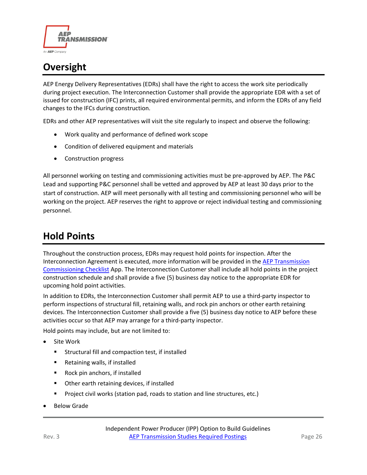

# <span id="page-26-0"></span>**Oversight**

AEP Energy Delivery Representatives (EDRs) shall have the right to access the work site periodically during project execution. The Interconnection Customer shall provide the appropriate EDR with a set of issued for construction (IFC) prints, all required environmental permits, and inform the EDRs of any field changes to the IFCs during construction.

EDRs and other AEP representatives will visit the site regularly to inspect and observe the following:

- Work quality and performance of defined work scope
- Condition of delivered equipment and materials
- Construction progress

All personnel working on testing and commissioning activities must be pre-approved by AEP. The P&C Lead and supporting P&C personnel shall be vetted and approved by AEP at least 30 days prior to the start of construction. AEP will meet personally with all testing and commissioning personnel who will be working on the project. AEP reserves the right to approve or reject individual testing and commissioning personnel.

### <span id="page-26-1"></span>**Hold Points**

Throughout the construction process, EDRs may request hold points for inspection. After the Interconnection Agreement is executed, more information will be provided in the [AEP Transmission](#page-28-0)  [Commissioning Checklist](#page-28-0) App. The Interconnection Customer shall include all hold points in the project construction schedule and shall provide a five (5) business day notice to the appropriate EDR for upcoming hold point activities.

In addition to EDRs, the Interconnection Customer shall permit AEP to use a third-party inspector to perform inspections of structural fill, retaining walls, and rock pin anchors or other earth retaining devices. The Interconnection Customer shall provide a five (5) business day notice to AEP before these activities occur so that AEP may arrange for a third-party inspector.

Hold points may include, but are not limited to:

- Site Work
	- Structural fill and compaction test, if installed
	- Retaining walls, if installed
	- Rock pin anchors, if installed
	- **•** Other earth retaining devices, if installed
	- Project civil works (station pad, roads to station and line structures, etc.)
- **Below Grade**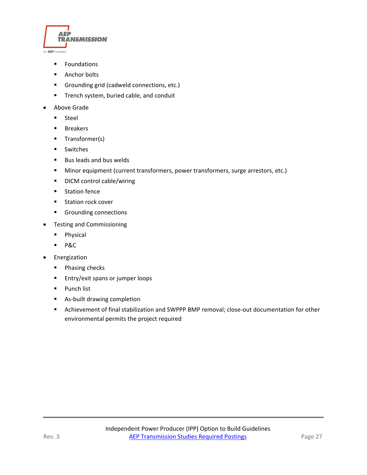

- **Foundations**
- **Anchor bolts**
- **Grounding grid (cadweld connections, etc.)**
- **Trench system, buried cable, and conduit**
- Above Grade
	- **Steel**
	- **Breakers**
	- **Transformer(s)**
	- **Switches**
	- Bus leads and bus welds
	- **Minor equipment (current transformers, power transformers, surge arrestors, etc.)**
	- **•** DICM control cable/wiring
	- **Station fence**
	- **Station rock cover**
	- **Grounding connections**
- Testing and Commissioning
	- **Physical**
	- P&C
- Energization
	- **Phasing checks**
	- **Entry/exit spans or jumper loops**
	- **Punch list**
	- As-built drawing completion
	- Achievement of final stabilization and SWPPP BMP removal; close-out documentation for other environmental permits the project required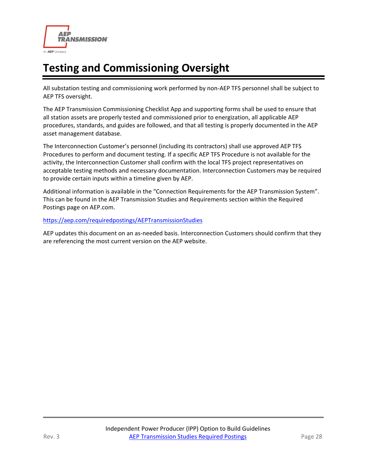

# <span id="page-28-0"></span>**Testing and Commissioning Oversight**

All substation testing and commissioning work performed by non-AEP TFS personnel shall be subject to AEP TFS oversight.

The AEP Transmission Commissioning Checklist App and supporting forms shall be used to ensure that all station assets are properly tested and commissioned prior to energization, all applicable AEP procedures, standards, and guides are followed, and that all testing is properly documented in the AEP asset management database.

The Interconnection Customer's personnel (including its contractors) shall use approved AEP TFS Procedures to perform and document testing. If a specific AEP TFS Procedure is not available for the activity, the Interconnection Customer shall confirm with the local TFS project representatives on acceptable testing methods and necessary documentation. Interconnection Customers may be required to provide certain inputs within a timeline given by AEP.

Additional information is available in the "Connection Requirements for the AEP Transmission System". This can be found in the AEP Transmission Studies and Requirements section within the Required Postings page on AEP.com.

#### <https://aep.com/requiredpostings/AEPTransmissionStudies>

AEP updates this document on an as-needed basis. Interconnection Customers should confirm that they are referencing the most current version on the AEP website.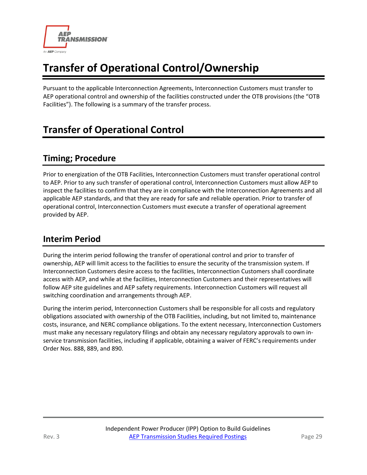

# <span id="page-29-0"></span>**Transfer of Operational Control/Ownership**

Pursuant to the applicable Interconnection Agreements, Interconnection Customers must transfer to AEP operational control and ownership of the facilities constructed under the OTB provisions (the "OTB Facilities"). The following is a summary of the transfer process.

# <span id="page-29-1"></span>**Transfer of Operational Control**

#### **Timing; Procedure**

Prior to energization of the OTB Facilities, Interconnection Customers must transfer operational control to AEP. Prior to any such transfer of operational control, Interconnection Customers must allow AEP to inspect the facilities to confirm that they are in compliance with the Interconnection Agreements and all applicable AEP standards, and that they are ready for safe and reliable operation. Prior to transfer of operational control, Interconnection Customers must execute a transfer of operational agreement provided by AEP.

#### **Interim Period**

During the interim period following the transfer of operational control and prior to transfer of ownership, AEP will limit access to the facilities to ensure the security of the transmission system. If Interconnection Customers desire access to the facilities, Interconnection Customers shall coordinate access with AEP, and while at the facilities, Interconnection Customers and their representatives will follow AEP site guidelines and AEP safety requirements. Interconnection Customers will request all switching coordination and arrangements through AEP.

During the interim period, Interconnection Customers shall be responsible for all costs and regulatory obligations associated with ownership of the OTB Facilities, including, but not limited to, maintenance costs, insurance, and NERC compliance obligations. To the extent necessary, Interconnection Customers must make any necessary regulatory filings and obtain any necessary regulatory approvals to own inservice transmission facilities, including if applicable, obtaining a waiver of FERC's requirements under Order Nos. 888, 889, and 890.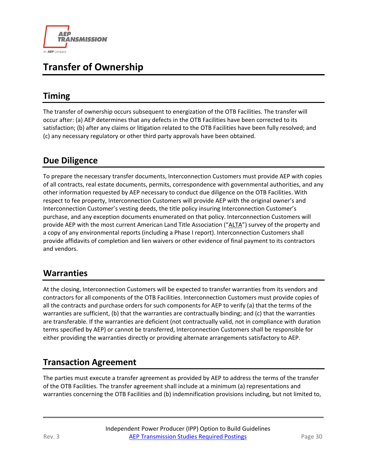

# <span id="page-30-0"></span>**Transfer of Ownership**

### **Timing**

The transfer of ownership occurs subsequent to energization of the OTB Facilities. The transfer will occur after: (a) AEP determines that any defects in the OTB Facilities have been corrected to its satisfaction; (b) after any claims or litigation related to the OTB Facilities have been fully resolved; and (c) any necessary regulatory or other third party approvals have been obtained.

### **Due Diligence**

To prepare the necessary transfer documents, Interconnection Customers must provide AEP with copies of all contracts, real estate documents, permits, correspondence with governmental authorities, and any other information requested by AEP necessary to conduct due diligence on the OTB Facilities. With respect to fee property, Interconnection Customers will provide AEP with the original owner's and Interconnection Customer's vesting deeds, the title policy insuring Interconnection Customer's purchase, and any exception documents enumerated on that policy. Interconnection Customers will provide AEP with the most current American Land Title Association ("ALTA") survey of the property and a copy of any environmental reports (including a Phase I report). Interconnection Customers shall provide affidavits of completion and lien waivers or other evidence of final payment to its contractors and vendors.

#### **Warranties**

At the closing, Interconnection Customers will be expected to transfer warranties from its vendors and contractors for all components of the OTB Facilities. Interconnection Customers must provide copies of all the contracts and purchase orders for such components for AEP to verify (a) that the terms of the warranties are sufficient, (b) that the warranties are contractually binding; and (c) that the warranties are transferable. If the warranties are deficient (not contractually valid, not in compliance with duration terms specified by AEP) or cannot be transferred, Interconnection Customers shall be responsible for either providing the warranties directly or providing alternate arrangements satisfactory to AEP.

### **Transaction Agreement**

The parties must execute a transfer agreement as provided by AEP to address the terms of the transfer of the OTB Facilities. The transfer agreement shall include at a minimum (a) representations and warranties concerning the OTB Facilities and (b) indemnification provisions including, but not limited to,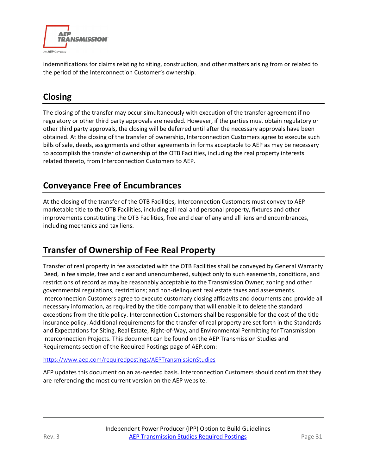

indemnifications for claims relating to siting, construction, and other matters arising from or related to the period of the Interconnection Customer's ownership.

### **Closing**

The closing of the transfer may occur simultaneously with execution of the transfer agreement if no regulatory or other third party approvals are needed. However, if the parties must obtain regulatory or other third party approvals, the closing will be deferred until after the necessary approvals have been obtained. At the closing of the transfer of ownership, Interconnection Customers agree to execute such bills of sale, deeds, assignments and other agreements in forms acceptable to AEP as may be necessary to accomplish the transfer of ownership of the OTB Facilities, including the real property interests related thereto, from Interconnection Customers to AEP.

#### **Conveyance Free of Encumbrances**

At the closing of the transfer of the OTB Facilities, Interconnection Customers must convey to AEP marketable title to the OTB Facilities, including all real and personal property, fixtures and other improvements constituting the OTB Facilities, free and clear of any and all liens and encumbrances, including mechanics and tax liens.

### **Transfer of Ownership of Fee Real Property**

Transfer of real property in fee associated with the OTB Facilities shall be conveyed by General Warranty Deed, in fee simple, free and clear and unencumbered, subject only to such easements, conditions, and restrictions of record as may be reasonably acceptable to the Transmission Owner; zoning and other governmental regulations, restrictions; and non-delinquent real estate taxes and assessments. Interconnection Customers agree to execute customary closing affidavits and documents and provide all necessary information, as required by the title company that will enable it to delete the standard exceptions from the title policy. Interconnection Customers shall be responsible for the cost of the title insurance policy. Additional requirements for the transfer of real property are set forth in the Standards and Expectations for Siting, Real Estate, Right-of-Way, and Environmental Permitting for Transmission Interconnection Projects. This document can be found on the AEP Transmission Studies and Requirements section of the Required Postings page of AEP.com:

#### <https://www.aep.com/requiredpostings/AEPTransmissionStudies>

AEP updates this document on an as-needed basis. Interconnection Customers should confirm that they are referencing the most current version on the AEP website.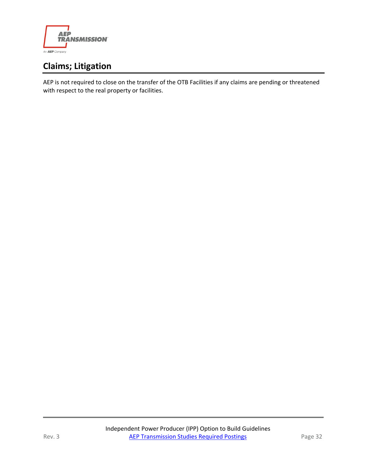

### **Claims; Litigation**

AEP is not required to close on the transfer of the OTB Facilities if any claims are pending or threatened with respect to the real property or facilities.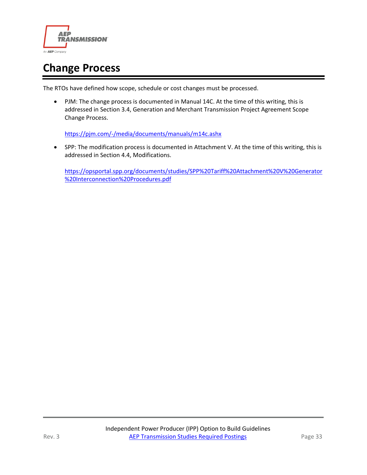

# <span id="page-33-0"></span>**Change Process**

The RTOs have defined how scope, schedule or cost changes must be processed.

• PJM: The change process is documented in Manual 14C. At the time of this writing, this is addressed in Section 3.4, Generation and Merchant Transmission Project Agreement Scope Change Process.

<https://pjm.com/-/media/documents/manuals/m14c.ashx>

• SPP: The modification process is documented in Attachment V. At the time of this writing, this is addressed in Section 4.4, Modifications.

[https://opsportal.spp.org/documents/studies/SPP%20Tariff%20Attachment%20V%20Generator](https://opsportal.spp.org/documents/studies/SPP%20Tariff%20Attachment%20V%20Generator%20Interconnection%20Procedures.pdf) [%20Interconnection%20Procedures.pdf](https://opsportal.spp.org/documents/studies/SPP%20Tariff%20Attachment%20V%20Generator%20Interconnection%20Procedures.pdf)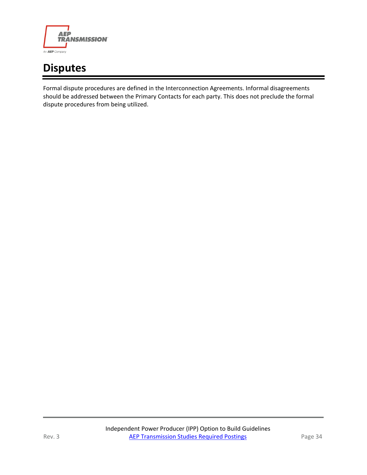

# <span id="page-34-0"></span>**Disputes**

Formal dispute procedures are defined in the Interconnection Agreements. Informal disagreements should be addressed between the Primary Contacts for each party. This does not preclude the formal dispute procedures from being utilized.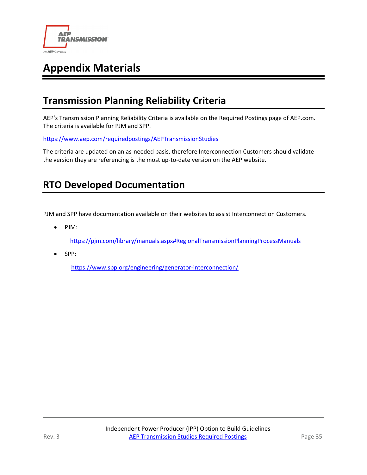

# <span id="page-35-0"></span>**Appendix Materials**

### <span id="page-35-1"></span>**Transmission Planning Reliability Criteria**

AEP's Transmission Planning Reliability Criteria is available on the Required Postings page of AEP.com. The criteria is available for PJM and SPP.

<https://www.aep.com/requiredpostings/AEPTransmissionStudies>

The criteria are updated on an as-needed basis, therefore Interconnection Customers should validate the version they are referencing is the most up-to-date version on the AEP website.

### <span id="page-35-2"></span>**RTO Developed Documentation**

PJM and SPP have documentation available on their websites to assist Interconnection Customers.

• PJM:

<https://pjm.com/library/manuals.aspx#RegionalTransmissionPlanningProcessManuals>

• SPP:

<https://www.spp.org/engineering/generator-interconnection/>